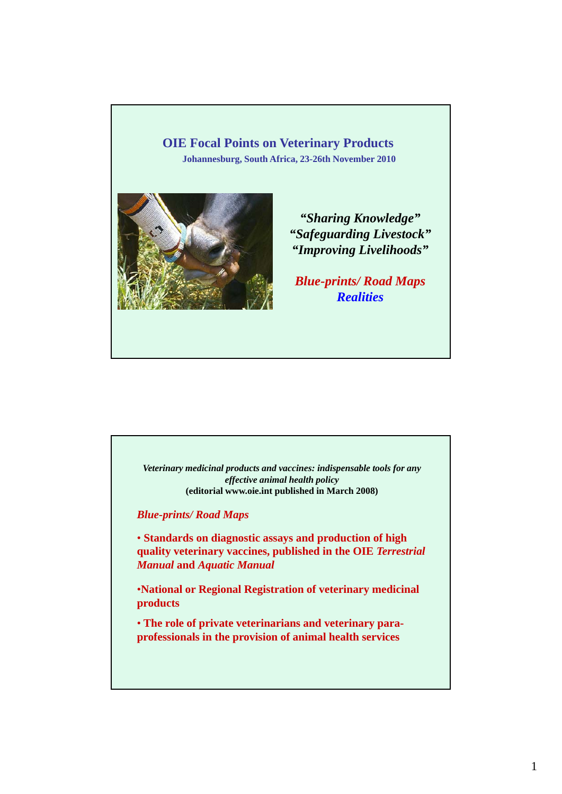# **OIE Focal Points on Veterinary Products**

**Johannesburg, South Africa, 23-26th November 2010**



*"Sharing Knowledge" "Safeguarding Livestock" "Improving Livelihoods"*

*Blue-prints/ Road Maps Realities*

*Veterinary medicinal products and vaccines: indispensable tools for any effective animal health policy* **(editorial www.oie.int published in March 2008)**

*Blue-p p rints/ Road Maps*

• **Standards on diagnostic assays and production of high quality veterinary vaccines, published in the OIE** *Terrestrial Manual* **and** *Aquatic Manual*

•**National or Regional Registration of veterinary medicinal products**

• **The role of private veterinarians and veterinary paraprofessionals in the provision of animal health services**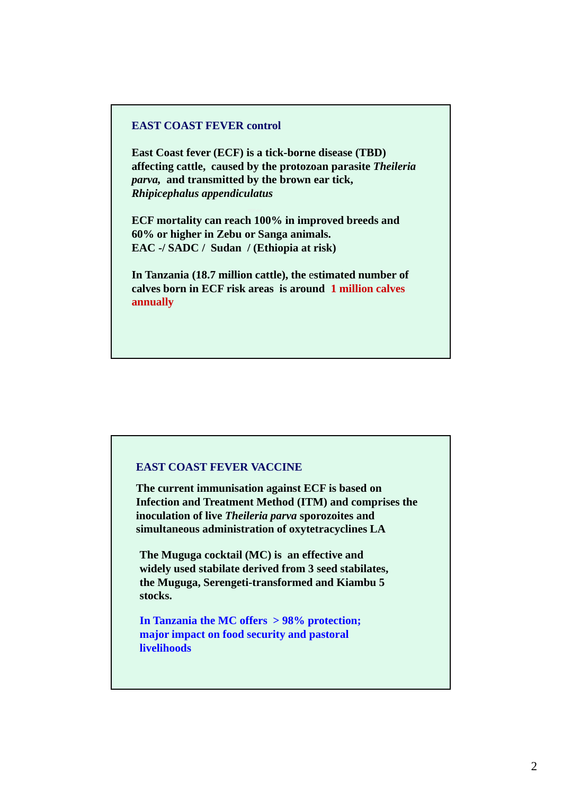#### **EAST COAST FEVER control**

**East Coast fever (ECF) is a tick-borne disease (TBD) affecting cattle, caused by the protozoan parasite** *Theileria parva,* **and transmitted by the brown ear tick,**  *Rhipicephalus appendiculatus* 

**ECF mortality can reach 100% in improved breeds and 60% or higher in Zebu or Sanga animals. EAC -/ SADC / Sudan / (Ethiopia at risk)**

**In Tanzania (18 7 million cattle) In Tanzania (18.7 million cattle), the** e**stimated number of stimated number calves born in ECF risk areas is around 1 million calves annually**

#### **EAST COAST FEVER VACCINE**

**The current immunisation against ECF is based on Infection and Treatment Method (ITM) and comprises the**  inoculation of live *Theileria parva* sporozoites and **simultaneous administration of oxytetracyclines LA**

**The Muguga cocktail (MC) is an effective and widely used stabilate derived from 3 seed stabilates, the Muguga, Serengeti-transformed and Kiambu 5 stocks.**

**In Tanzania the MC offers > 98% protection; major impact on food security and pastoral livelihoods**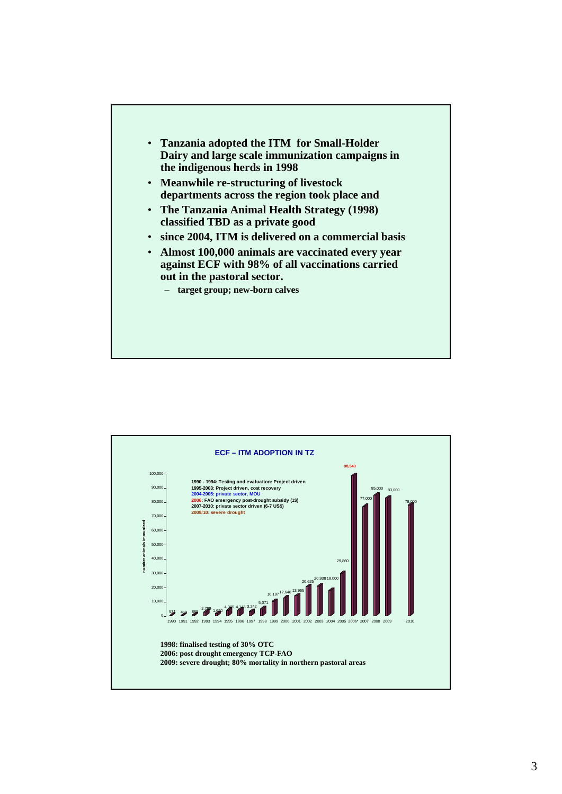

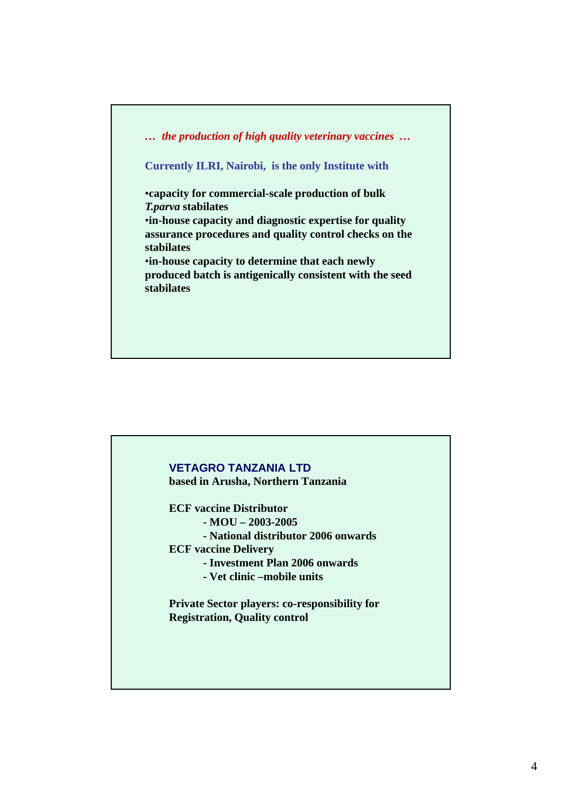*… the production of high quality veterinary vaccines …*

**Currently ILRI, Nairobi, is the only Institute with**

•**capacity for commercial-scale production of bulk**  *T.parva* **stabilates** 

•**in-house capacity and diagnostic expertise for quality assurance procedures and quality control checks on the stabilates**

•**in-house capacity to determine that each newly produced batch is antigenically consistent with the seed produced batch is antigenically consistent with the stabilates**

## **VETAGRO TANZANIA LTD**

**based in Arusha, Northern Tanzania**

**ECF vaccine Distributor** 

**- MOU – 2003-2005**

**- National distributor 2006 onwards** 

**ECF vaccine Delivery**

**- Investment Plan 2006 onwards**

**- Vet clinic –mobile units**

**Private Sector players: co-responsibility for Registration, Quality control**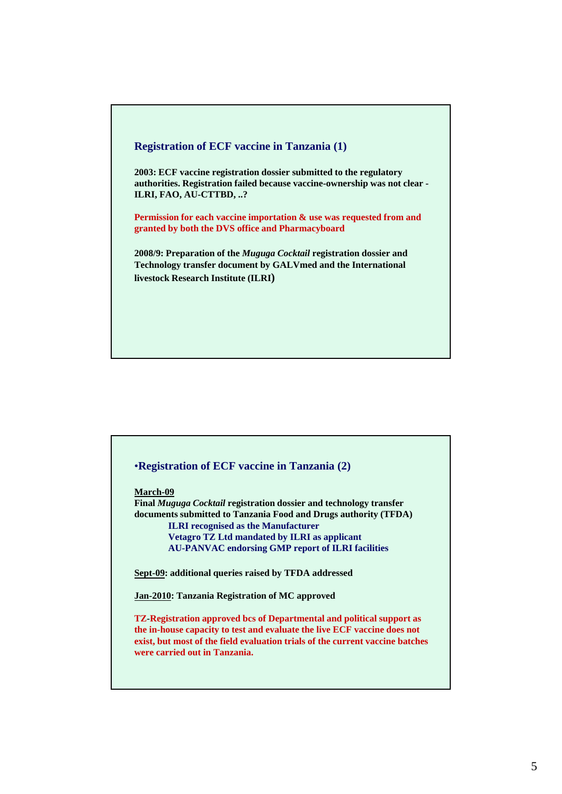

# •**Registration of ECF vaccine in Tanzania (2) March-09 Final** *Muguga Cocktail* **registration dossier and technology transfer documents submitted to Tanzania Food and Drugs authority (TFDA) ILRI recognised as the Manufacturer Vetagro TZ Ltd mandated by ILRI as applicant AU-PANVAC endorsing GMP report of ILRI facilities Sept-09: additional queries raised by TFDA addressed Jan-2010: Tanzania Registration of MC approved TZ-Registration approved bcs of Departmental and political support as the in-house capacity to test and evaluate the live ECF vaccine does not exist, but most of the field evaluation trials of the current vaccine batches were carried out in Tanzania.**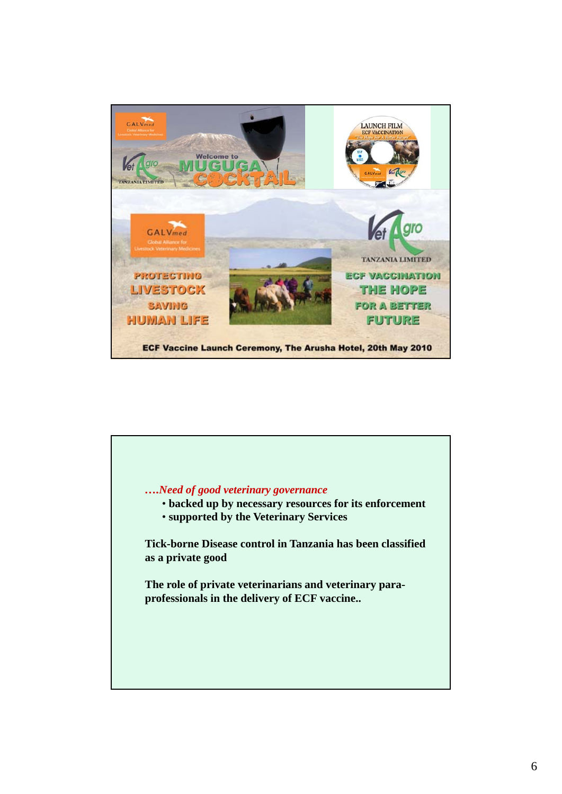

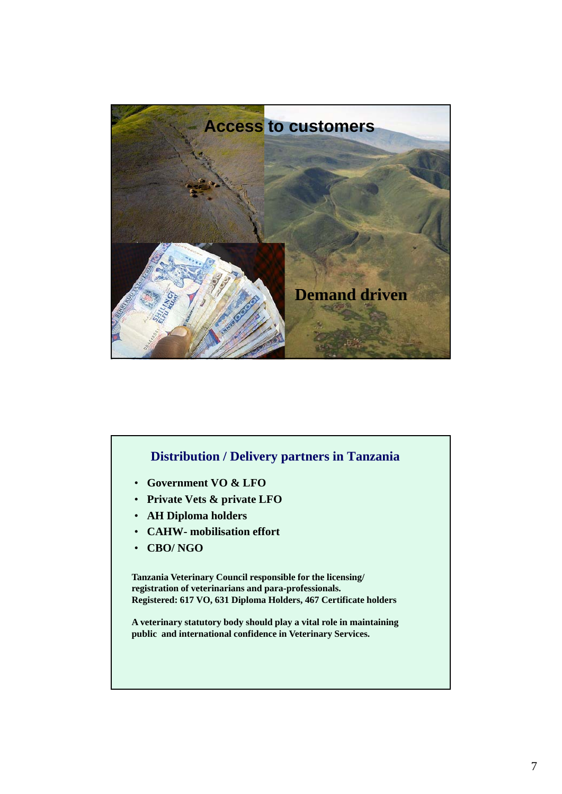

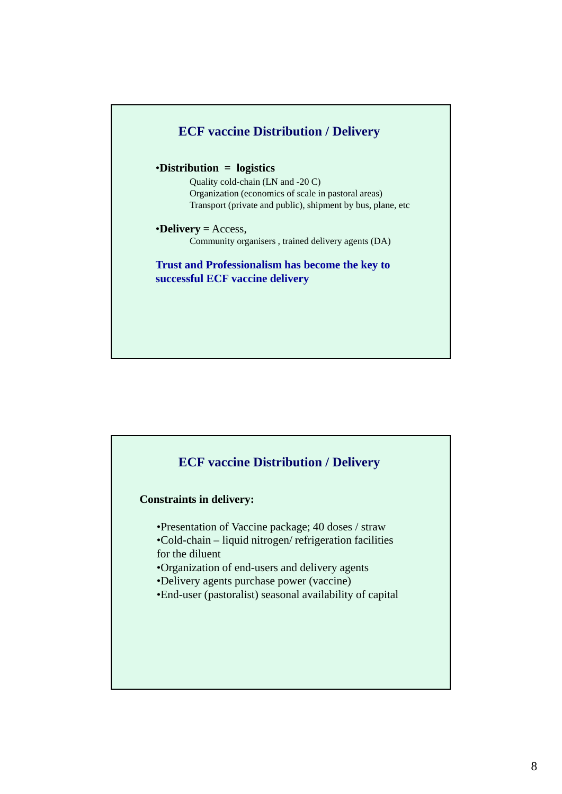

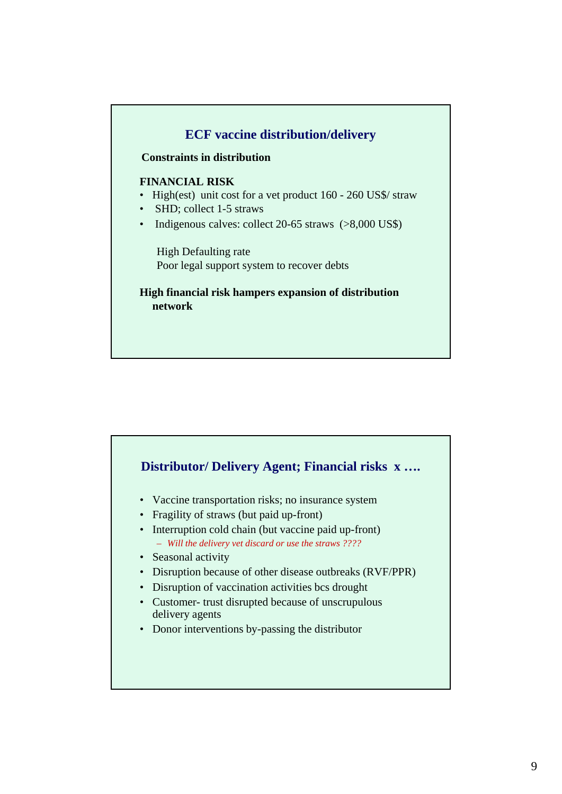

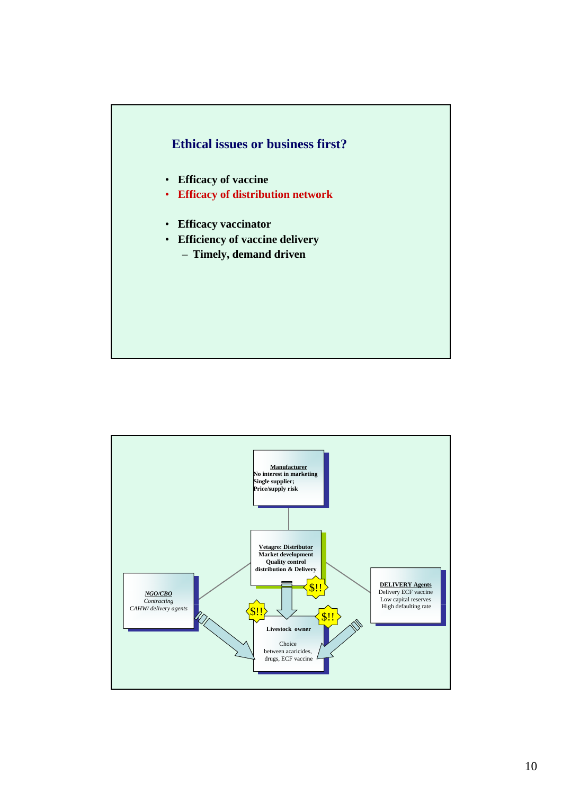

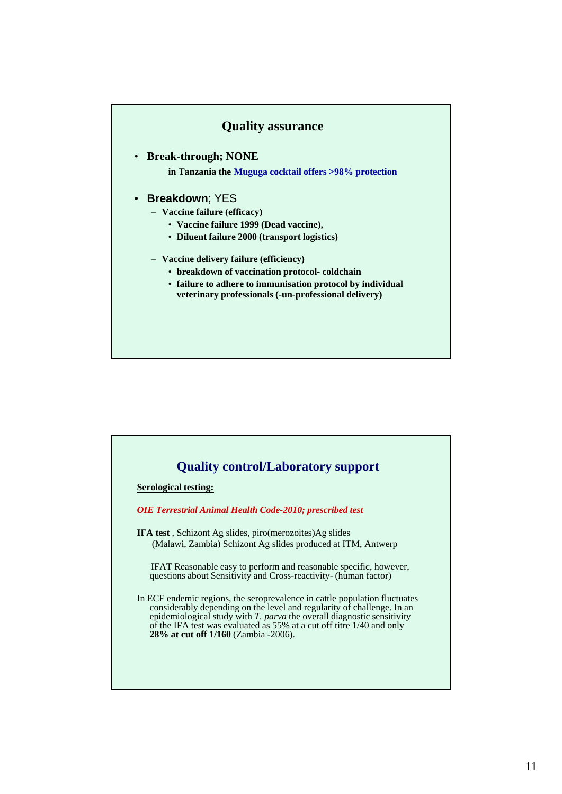### **Quality assurance**

• **Break-through; NONE**

**in Tanzania the Muguga cocktail offers >98% protection**

- **Breakdown**; YES
	- **Vaccine failure (efficacy)** 
		- **Vaccine failure 1999 (Dead vaccine),**
		- **Diluent failure 2000 (transport logistics)**
	- **Vaccine delivery failure (efficiency)**
		- **breakdown of vaccination protocol breakdown of vaccination protocol- coldchain**
		- **failure to adhere to immunisation protocol by individual veterinary professionals (-un-professional delivery)**

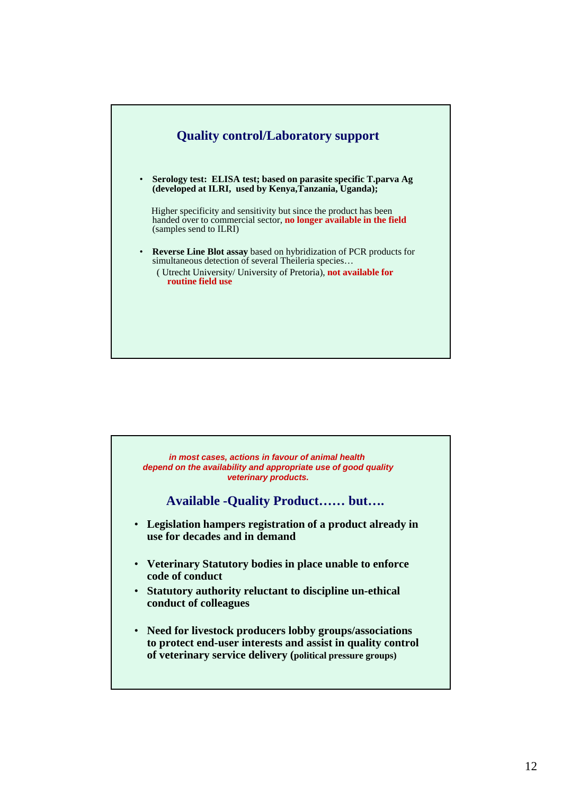

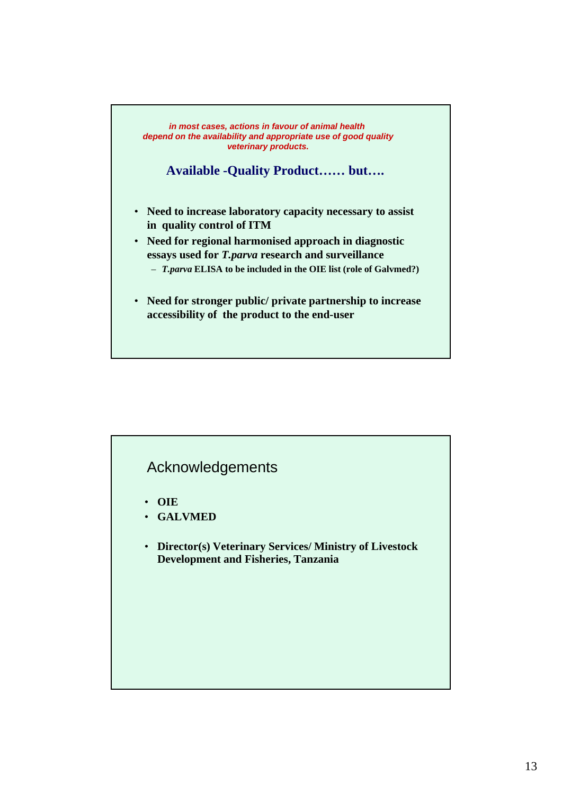